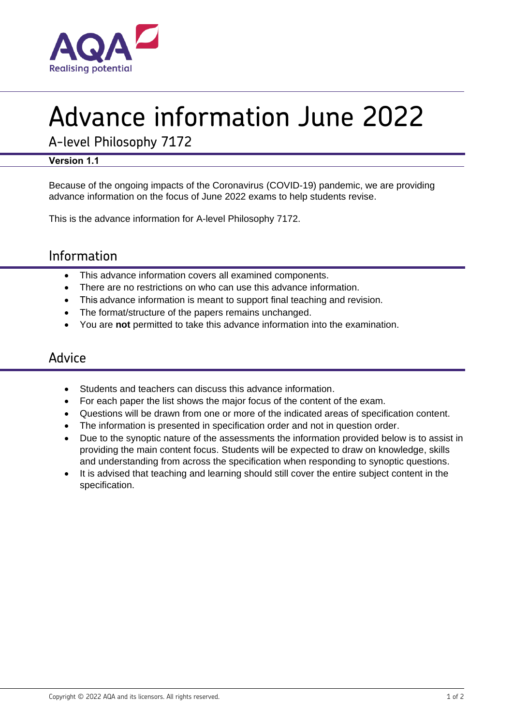

# Advance information June 2022

A-level Philosophy 7172

#### **Version 1.1**

Because of the ongoing impacts of the Coronavirus (COVID-19) pandemic, we are providing advance information on the focus of June 2022 exams to help students revise.

This is the advance information for A-level Philosophy 7172.

## Information

- This advance information covers all examined components.
- There are no restrictions on who can use this advance information.
- This advance information is meant to support final teaching and revision.
- The format/structure of the papers remains unchanged.
- You are **not** permitted to take this advance information into the examination.

### Advice

- Students and teachers can discuss this advance information.
- For each paper the list shows the major focus of the content of the exam.
- Questions will be drawn from one or more of the indicated areas of specification content.
- The information is presented in specification order and not in question order.
- Due to the synoptic nature of the assessments the information provided below is to assist in providing the main content focus. Students will be expected to draw on knowledge, skills and understanding from across the specification when responding to synoptic questions.
- It is advised that teaching and learning should still cover the entire subject content in the specification.